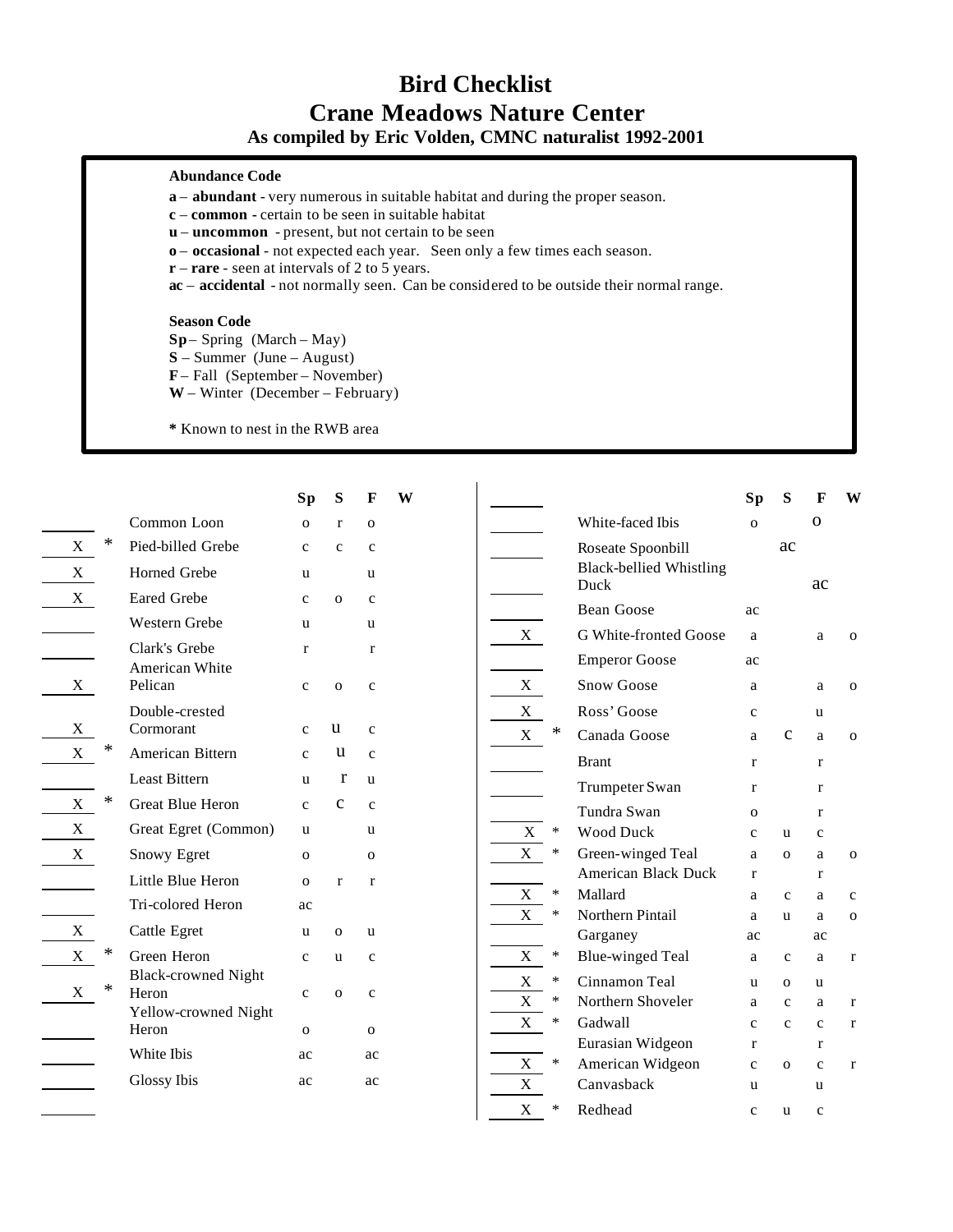## **Bird Checklist Crane Meadows Nature Center As compiled by Eric Volden, CMNC naturalist 1992-2001**

## **Abundance Code**

- **a abundant** very numerous in suitable habitat and during the proper season.
- **c common -** certain to be seen in suitable habitat
- **u uncommon** present, but not certain to be seen
- **o occasional**  not expected each year. Seen only a few times each season.

**Sp S F W**

- **r rare**  seen at intervals of 2 to 5 years.
- **ac** – **accidental** not normally seen. Can be considered to be outside their normal range.

## **Season Code**

**Sp**– Spring (March – May)

**S** – Summer (June – August)

**F** – Fall (September – November)

**W** – Winter (December – February)

**\*** Known to nest in the RWB area

|                           |   |                                                             | Sp           | S            | F            |
|---------------------------|---|-------------------------------------------------------------|--------------|--------------|--------------|
|                           |   | Common Loon                                                 | $\mathbf{o}$ | r            | $\mathbf{o}$ |
| $\boldsymbol{\mathrm{X}}$ | * | Pied-billed Grebe                                           | $\mathbf c$  | $\mathbf c$  | $\mathbf c$  |
| X                         |   | <b>Horned Grebe</b>                                         | u            |              | u            |
| X                         |   | <b>Eared Grebe</b>                                          | c            | $\mathbf{O}$ | c            |
|                           |   | <b>Western Grebe</b>                                        | u            |              | u            |
|                           |   | Clark's Grebe<br>American White                             | r            |              | r            |
| X                         |   | Pelican                                                     | $\mathbf c$  | $\mathbf{O}$ | $\mathbf c$  |
| X                         |   | Double-crested<br>Cormorant                                 | $\mathbf{c}$ | u            | $\mathbf{c}$ |
| X                         | ∗ | American Bittern                                            | $\mathbf{c}$ | u            | $\mathbf{c}$ |
|                           |   | <b>Least Bittern</b>                                        | u            | r            | u            |
| X                         | ∗ | <b>Great Blue Heron</b>                                     | $\mathbf{c}$ | с            | $\mathbf{c}$ |
| X                         |   | Great Egret (Common)                                        | u            |              | u            |
| X                         |   | Snowy Egret                                                 | $\Omega$     |              | $\Omega$     |
|                           |   | Little Blue Heron                                           | 0            | r            | r            |
|                           |   | Tri-colored Heron                                           | ac           |              |              |
| X                         |   | Cattle Egret                                                | u            | $\Omega$     | u            |
| X                         | ∗ | Green Heron                                                 | c            | u            | c            |
| X                         | ∗ | <b>Black-crowned Night</b><br>Heron<br>Yellow-crowned Night | $\mathbf c$  | $\mathbf{O}$ | $\mathbf c$  |
|                           |   | Heron                                                       | $\mathbf{O}$ |              | $\mathbf{O}$ |
|                           |   | White Ibis                                                  | ac           |              | ac           |
|                           |   | <b>Glossy Ibis</b>                                          | ac           |              | ac           |

|   |        |                                                     | Sp           | S            | F            | W            |
|---|--------|-----------------------------------------------------|--------------|--------------|--------------|--------------|
|   |        | White-faced Ibis                                    | $\Omega$     |              | Ω            |              |
|   |        | Roseate Spoonbill<br><b>Black-bellied Whistling</b> |              | ac           |              |              |
|   |        | Duck                                                |              |              | ac           |              |
|   |        | Bean Goose                                          | ac           |              |              |              |
| X |        | G White-fronted Goose                               | a            |              | a            | $\mathbf{O}$ |
|   |        | <b>Emperor Goose</b>                                | ac           |              |              |              |
| X |        | <b>Snow Goose</b>                                   | a            |              | a            | $\mathbf{O}$ |
| X |        | Ross' Goose                                         | c            |              | u            |              |
| X | *      | Canada Goose                                        | a            | с            | a            | $\mathbf{O}$ |
|   |        | <b>Brant</b>                                        | r            |              | r            |              |
|   |        | Trumpeter Swan                                      | r            |              | r            |              |
|   |        | Tundra Swan                                         | $\mathbf{O}$ |              | r            |              |
| X | $\ast$ | <b>Wood Duck</b>                                    | $\mathbf{c}$ | u            | $\mathbf{c}$ |              |
| X | ∗      | Green-winged Teal                                   | a            | O            | a            | $\mathbf{O}$ |
|   |        | <b>American Black Duck</b>                          | r            |              | r            |              |
| X | ∗      | Mallard                                             | a            | $\mathbf c$  | a            | $\mathbf c$  |
| X | ∗      | Northern Pintail                                    | a            | u            | a            | $\mathbf{O}$ |
|   |        | Garganey                                            | ac           |              | ac           |              |
| X | $\ast$ | <b>Blue-winged Teal</b>                             | a            | $\mathbf{c}$ | a            | r            |
| X | *      | Cinnamon Teal                                       | u            | $\Omega$     | u            |              |
| X | ∗      | Northern Shoveler                                   | a            | $\mathbf{c}$ | a            | r            |
| X | ∗      | Gadwall                                             | $\mathbf c$  | $\mathbf c$  | $\mathbf c$  | r            |
|   |        | Eurasian Widgeon                                    | r            |              | r            |              |
| X | ∗      | American Widgeon                                    | $\mathbf c$  | $\mathbf{o}$ | $\mathbf c$  | r            |
| X |        | Canvasback                                          | u            |              | u            |              |
| X | ∗      | Redhead                                             | $\mathbf c$  | u            | $\mathbf c$  |              |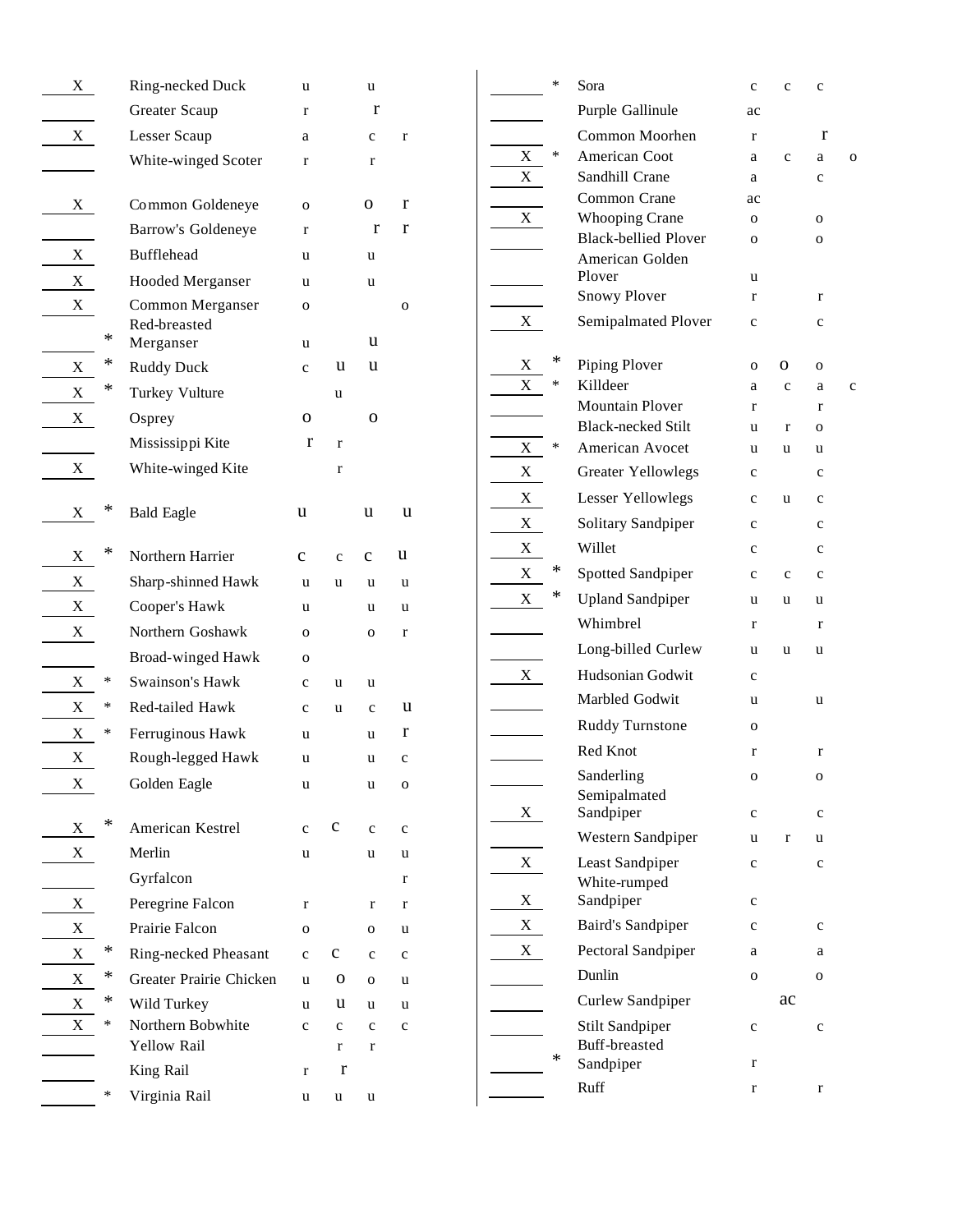| X |        | Ring-necked Duck                 | u            |             | u                |             |
|---|--------|----------------------------------|--------------|-------------|------------------|-------------|
|   |        | Greater Scaup                    | r            |             | r                |             |
| X |        | Lesser Scaup                     | a            |             | c                | r           |
|   |        | White-winged Scoter              | r            |             | r                |             |
|   |        |                                  |              |             |                  |             |
| X |        | Common Goldeneye                 | O            |             | 0                | r           |
|   |        | Barrow's Goldeneye               | r            |             | r                | r           |
| X |        | <b>Bufflehead</b>                | u            |             | u                |             |
| X |        | <b>Hooded Merganser</b>          | u            |             | u                |             |
| X | ∗      | Common Merganser<br>Red-breasted | O            |             | u                | o           |
| X | *      | Merganser                        | u            | u           | u                |             |
|   | *      | <b>Ruddy Duck</b>                | $\mathbf c$  |             |                  |             |
| X |        | Turkey Vulture                   |              | u           |                  |             |
| X |        | Osprey                           | o            |             | о                |             |
|   |        | Mississippi Kite                 | r            | r           |                  |             |
| X |        | White-winged Kite                |              | r           |                  |             |
| X | *      | <b>Bald Eagle</b>                | u            |             | u                | u           |
| X | *      | Northern Harrier                 | c            | $\mathbf c$ | $\mathbf c$      | u           |
| X |        | Sharp-shinned Hawk               | u            | u           | u                | u           |
| X |        | Cooper's Hawk                    | u            |             | u                | u           |
| X |        | Northern Goshawk                 | O            |             | O                | r           |
|   |        | <b>Broad-winged Hawk</b>         | O            |             |                  |             |
| X | ∗      | Swainson's Hawk                  | $\mathbf c$  | u           | u                |             |
| X | ∗      | Red-tailed Hawk                  | $\mathbf{C}$ | u           | $\mathbf c$      | u           |
| X | ∗      | Ferruginous Hawk                 | u            |             | u                | r           |
| X |        | Rough-legged Hawk                | u            |             | u                | c           |
| X |        | Golden Eagle                     | u            |             | u                | o           |
|   | *      |                                  |              |             |                  |             |
| X |        | American Kestrel                 | c            | $\mathbf C$ | $\mathbf c$      | $\mathbf c$ |
| X |        | Merlin                           | u            |             | u                | u           |
|   |        | Gyrfalcon                        |              |             |                  | r           |
| X |        | Peregrine Falcon                 | r            |             | r                | r           |
| X | ∗      | Prairie Falcon                   | o            |             | o                | u           |
| X | *      | Ring-necked Pheasant             | $\mathbf c$  | с           | $\mathbf c$      | $\mathbf c$ |
| X | ∗      | Greater Prairie Chicken          | u            | 0           | O                | u           |
| X | $\ast$ | Wild Turkey<br>Northern Bobwhite | u            | u           | u                | u           |
| X |        | <b>Yellow Rail</b>               | c            | c<br>r      | $\mathbf c$<br>r | $\mathbf c$ |
|   |        | King Rail                        | r            | r           |                  |             |
|   | ∗      | Virginia Rail                    | u            | u           | u                |             |
|   |        |                                  |              |             |                  |             |

|             | $\ast$ | Sora                                                 | $\mathbf c$ | $\mathbf c$ | c           |   |
|-------------|--------|------------------------------------------------------|-------------|-------------|-------------|---|
|             |        | Purple Gallinule                                     | ac          |             |             |   |
|             |        | Common Moorhen                                       | r           |             | r           |   |
| Х           | *      | American Coot                                        | a           | $\mathbf c$ | a           | O |
| X           |        | Sandhill Crane                                       | a           |             | c           |   |
|             |        | Common Crane                                         | ac          |             |             |   |
| X           |        | <b>Whooping Crane</b><br><b>Black-bellied Plover</b> | 0           |             | 0           |   |
|             |        | American Golden                                      | 0           |             | о           |   |
|             |        | Plover                                               | u           |             |             |   |
|             |        | <b>Snowy Plover</b>                                  | r           |             | r           |   |
| X           |        | Semipalmated Plover                                  | $\mathbf c$ |             | c           |   |
| X           | *      | Piping Plover                                        | O           | 0           | O           |   |
| X           | ∗      | Killdeer                                             | a           | $\mathbf c$ | a           | c |
|             |        | <b>Mountain Plover</b>                               | r           |             | r           |   |
|             |        | <b>Black-necked Stilt</b>                            | u           | r           | 0           |   |
| X           | ∗      | American Avocet                                      | u           | u           | u           |   |
| Χ           |        | <b>Greater Yellowlegs</b>                            | $\mathbf c$ |             | $\mathbf c$ |   |
| X           |        | <b>Lesser Yellowlegs</b>                             | $\mathbf c$ | u           | $\mathbf c$ |   |
| X           |        | Solitary Sandpiper                                   | $\mathbf c$ |             | $\mathbf c$ |   |
| Х           |        | Willet                                               | $\mathbf c$ |             | $\mathbf c$ |   |
| $\mathbf X$ | *      | Spotted Sandpiper                                    | $\mathbf c$ | c           | $\mathbf c$ |   |
| X           | *      | <b>Upland Sandpiper</b>                              | u           | u           | u           |   |
|             |        | Whimbrel                                             | $\mathbf r$ |             | r           |   |
|             |        | Long-billed Curlew                                   | u           | u           | u           |   |
| X           |        | Hudsonian Godwit                                     | $\mathbf c$ |             |             |   |
|             |        | Marbled Godwit                                       | u           |             | u           |   |
|             |        | <b>Ruddy Turnstone</b>                               | O           |             |             |   |
|             |        | Red Knot                                             | r           |             | r           |   |
|             |        | Sanderling                                           |             |             |             |   |
|             |        | Semipalmated                                         | $\mathbf o$ |             | O           |   |
| X           |        | Sandpiper                                            | $\mathbf c$ |             | $\mathbf c$ |   |
|             |        | Western Sandpiper                                    | u           | r           | u           |   |
| X           |        | Least Sandpiper                                      | c           |             | $\mathbf c$ |   |
|             |        | White-rumped                                         |             |             |             |   |
| X           |        | Sandpiper                                            | c           |             |             |   |
| X           |        | <b>Baird's Sandpiper</b>                             | $\mathbf c$ |             | $\mathbf c$ |   |
| X           |        | Pectoral Sandpiper                                   | a           |             | a           |   |
|             |        | Dunlin                                               | o           |             | о           |   |
|             |        | Curlew Sandpiper                                     |             | ac          |             |   |
|             |        | Stilt Sandpiper                                      | c           |             | c           |   |
|             | *      | Buff-breasted                                        |             |             |             |   |
|             |        | Sandpiper                                            | $\mathbf r$ |             |             |   |
|             |        | Ruff                                                 | r           |             | r           |   |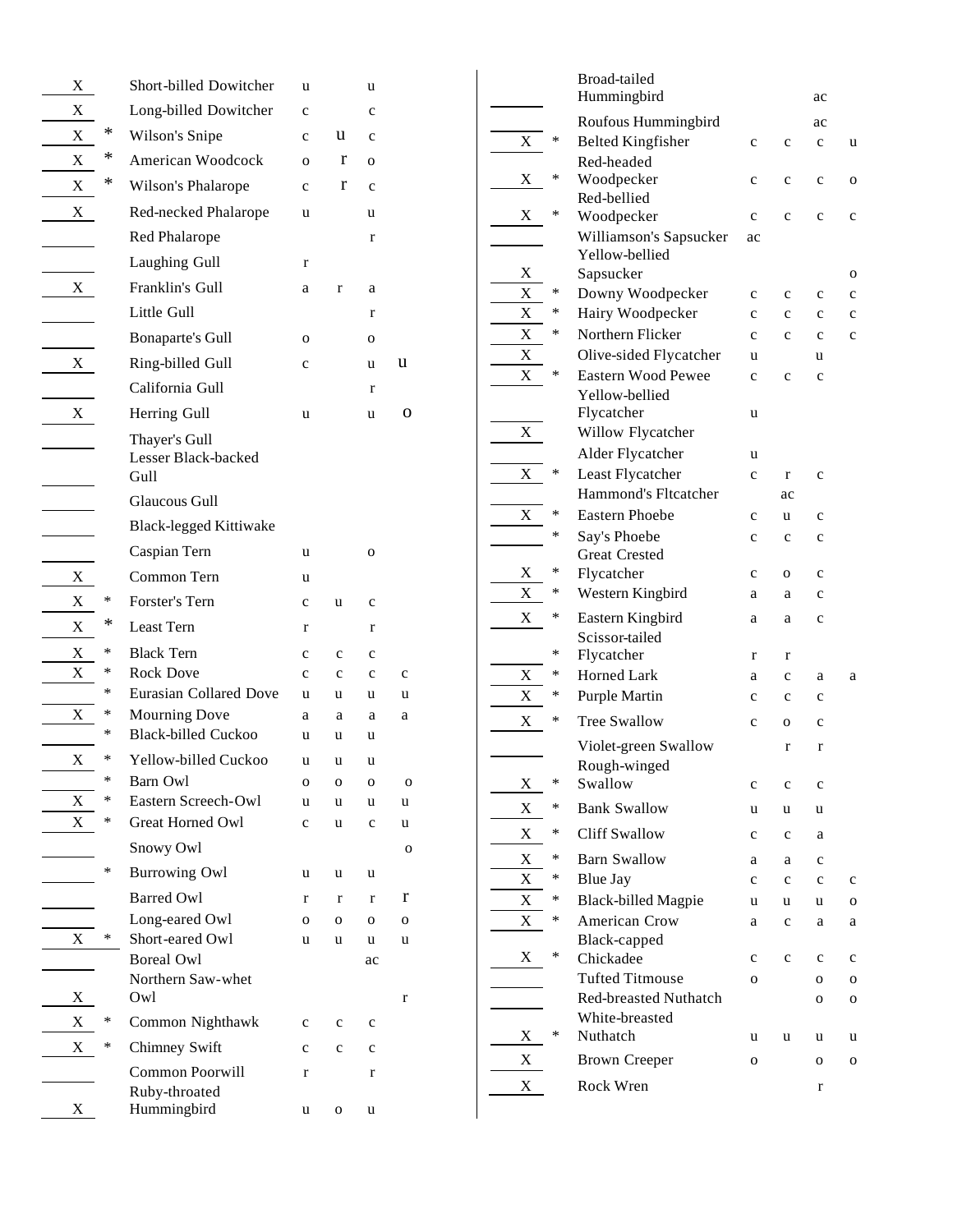| X           |        | Short-billed Dowitcher                        | u            |              | u            |             |
|-------------|--------|-----------------------------------------------|--------------|--------------|--------------|-------------|
| X           |        | Long-billed Dowitcher                         | $\mathbf c$  |              | c            |             |
| X           | *      | Wilson's Snipe                                | $\mathbf c$  | u            | $\mathbf c$  |             |
| Х           | *      | American Woodcock                             | $\Omega$     | r            | $\mathbf{o}$ |             |
| $\mathbf X$ | *      | Wilson's Phalarope                            | $\mathbf{c}$ | r            | $\mathbf{c}$ |             |
| X           |        | Red-necked Phalarope                          | u            |              | u            |             |
|             |        | Red Phalarope                                 |              |              | r            |             |
|             |        | Laughing Gull                                 | r            |              |              |             |
| X           |        | Franklin's Gull                               | a            | $\mathbf r$  | a            |             |
|             |        | Little Gull                                   |              |              | r            |             |
|             |        | Bonaparte's Gull                              | O            |              | $\mathbf{O}$ |             |
| X           |        | Ring-billed Gull                              | c            |              | u            | u           |
|             |        | California Gull                               |              |              | r            |             |
| X           |        | Herring Gull                                  | u            |              | u            | о           |
|             |        | Thayer's Gull<br>Lesser Black-backed<br>Gull  |              |              |              |             |
|             |        | <b>Glaucous Gull</b>                          |              |              |              |             |
|             |        | <b>Black-legged Kittiwake</b>                 |              |              |              |             |
|             |        | Caspian Tern                                  | u            |              | O            |             |
| X           |        | Common Tern                                   | u            |              |              |             |
| X           | ∗      | Forster's Tern                                | c            | u            | c            |             |
| X           | *      | Least Tern                                    | r            |              | r            |             |
| X           | ∗      | <b>Black Tern</b>                             | $\mathbf c$  | $\mathbf{C}$ | c            |             |
| X           | ∗      | <b>Rock Dove</b>                              | c            | c            | c            | c           |
|             | ∗<br>∗ | <b>Eurasian Collared Dove</b>                 | u            | u            | u            | u           |
| X           | ∗      | Mourning Dove<br><b>Black-billed Cuckoo</b>   | a<br>u       | a<br>u       | a<br>u       | a           |
| X           | *      | Yellow-billed Cuckoo                          | u            | u            | u            |             |
|             | $\ast$ | Barn Owl                                      | 0            | o            | о            | o           |
| Х           | ∗      | Eastern Screech-Owl                           | u            | u            | u            | u           |
| X           | ∗      | <b>Great Horned Owl</b>                       | c            | u            | $\mathbf c$  | u           |
|             |        | Snowy Owl                                     |              |              |              | O           |
|             | ∗      | <b>Burrowing Owl</b>                          | u            | u            | u            |             |
|             |        | <b>Barred Owl</b>                             | r            | $\mathbf r$  | r            | r           |
|             |        | Long-eared Owl                                | о            | O            | O            | 0           |
| X           | ∗      | Short-eared Owl                               | u            | u            | u            | u           |
| X           |        | <b>Boreal Owl</b><br>Northern Saw-whet<br>Owl |              |              | ac           | $\mathbf r$ |
| X           | ∗      | Common Nighthawk                              | c            | c            | $\mathbf c$  |             |
| X           | ∗      | Chimney Swift                                 | c            | $\mathbf c$  | $\mathbf c$  |             |
|             |        | Common Poorwill                               | r            |              | $\mathbf r$  |             |
| X           |        | Ruby-throated<br>Hummingbird                  | u            | O            | u            |             |

|   |        | Broad-tailed                         |             |             |             |             |
|---|--------|--------------------------------------|-------------|-------------|-------------|-------------|
|   |        | Hummingbird                          |             |             | ac          |             |
|   |        | Roufous Hummingbird                  |             |             | ac          |             |
| X | ∗      | <b>Belted Kingfisher</b>             | $\mathbf c$ | $\mathbf c$ | $\mathbf c$ | u           |
|   |        | Red-headed                           |             |             |             |             |
| X | ∗      | Woodpecker                           | $\mathbf c$ | $\mathbf c$ | $\mathbf c$ | O           |
| X | *      | Red-bellied                          |             |             |             |             |
|   |        | Woodpecker<br>Williamson's Sapsucker | $\mathbf c$ | $\mathbf c$ | $\mathbf c$ | $\mathbf c$ |
|   |        | Yellow-bellied                       | ac          |             |             |             |
| X |        | Sapsucker                            |             |             |             | O           |
| X | ∗      | Downy Woodpecker                     | c           | c           | $\mathbf c$ | c           |
| X | ∗      | Hairy Woodpecker                     | $\mathbf c$ | $\mathbf c$ | c           | c           |
| X | ∗      | Northern Flicker                     | $\mathbf c$ | $\mathbf c$ | $\mathbf c$ | $\mathbf c$ |
| X |        | Olive-sided Flycatcher               | u           |             | u           |             |
| X | ∗      | Eastern Wood Pewee                   | $\mathbf c$ | $\mathbf c$ | $\mathbf c$ |             |
|   |        | Yellow-bellied                       |             |             |             |             |
|   |        | Flycatcher                           | u           |             |             |             |
| X |        | Willow Flycatcher                    |             |             |             |             |
|   |        | Alder Flycatcher                     | u           |             |             |             |
| X | $\ast$ | Least Flycatcher                     | $\mathbf c$ | r           | $\mathbf c$ |             |
|   |        | <b>Hammond's Fltcatcher</b>          |             | ac          |             |             |
| X | ∗      | <b>Eastern Phoebe</b>                | $\mathbf c$ | u           | c           |             |
|   | ∗      | Say's Phoebe                         | $\mathbf c$ | c           | c           |             |
|   |        | <b>Great Crested</b>                 |             |             |             |             |
| X | *      | Flycatcher                           | $\mathbf c$ | 0           | $\mathbf c$ |             |
| X | ∗      | Western Kingbird                     | a           | a           | c           |             |
| X | ∗      | Eastern Kingbird                     | a           | a           | $\mathbf c$ |             |
|   |        | Scissor-tailed                       |             |             |             |             |
|   | ∗      | Flycatcher                           | r           | r           |             |             |
| Х | *      | Horned Lark                          | a           | c           | a           | a           |
| X | *      | <b>Purple Martin</b>                 | $\mathbf c$ | c           | c           |             |
| X | ∗      | <b>Tree Swallow</b>                  | $\mathbf c$ | 0           | $\mathbf c$ |             |
|   |        | Violet-green Swallow                 |             | r           | $\mathbf r$ |             |
|   |        | Rough-winged                         |             |             |             |             |
| X | $\ast$ | Swallow                              | $\mathbf c$ | $\mathbf c$ | $\mathbf c$ |             |
| X | ∗      | <b>Bank Swallow</b>                  | u           | u           | u           |             |
| X | ∗      | <b>Cliff Swallow</b>                 | с           | $\mathbf c$ | a           |             |
| X | ∗      | <b>Barn Swallow</b>                  | a           | a           | c           |             |
| X | ∗      | <b>Blue Jay</b>                      | c           | c           | c           | $\mathbf c$ |
| X | ∗      | <b>Black-billed Magpie</b>           | u           | u           | u           | O           |
| X | ∗      | American Crow                        | a           | с           | a           | a           |
|   |        | Black-capped                         |             |             |             |             |
| X | ∗      | Chickadee                            | c           | c           | $\mathbf c$ | c           |
|   |        | <b>Tufted Titmouse</b>               | O           |             | о           | O           |
|   |        | <b>Red-breasted Nuthatch</b>         |             |             | O           | O           |
|   |        | White-breasted                       |             |             |             |             |
| X | ∗      | Nuthatch                             | u           | u           | u           | u           |
| X |        | <b>Brown Creeper</b>                 | O           |             | O           | O           |
| X |        | Rock Wren                            |             |             | r           |             |
|   |        |                                      |             |             |             |             |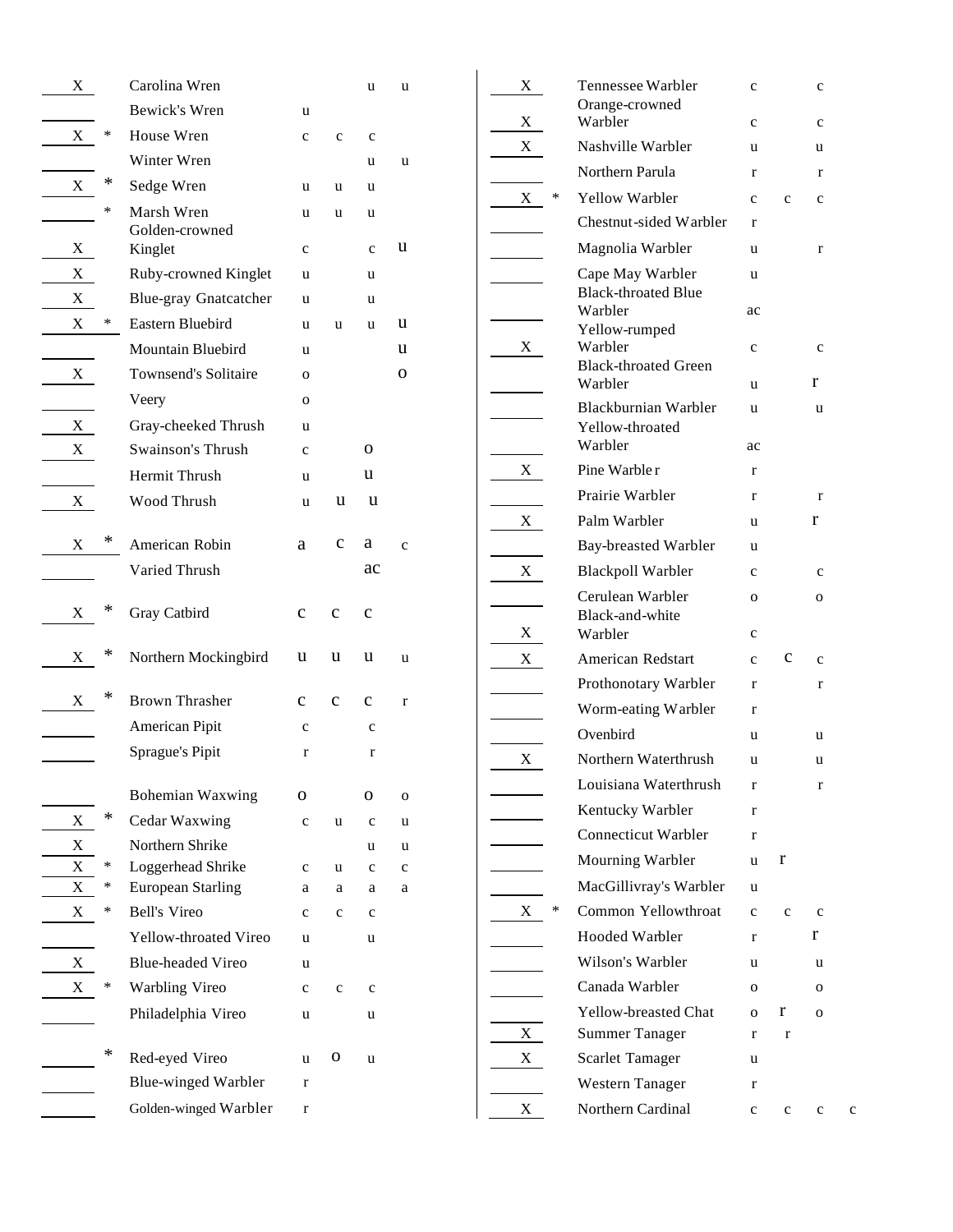| X      |        | Carolina Wren                                 |                  |                  | u           | u           |
|--------|--------|-----------------------------------------------|------------------|------------------|-------------|-------------|
|        |        | Bewick's Wren                                 | u                |                  |             |             |
| Х      | ∗      | House Wren                                    | c                | c                | c           |             |
|        |        | Winter Wren                                   |                  |                  | u           | u           |
| X      | ∗      | Sedge Wren                                    | u                | u                | u           |             |
|        | ∗      | Marsh Wren                                    | u                | u                | u           |             |
| X      |        | Golden-crowned                                |                  |                  |             | u           |
| X      |        | Kinglet<br>Ruby-crowned Kinglet               | $\mathbf c$<br>u |                  | c           |             |
| X      |        | <b>Blue-gray Gnatcatcher</b>                  | u                |                  | u<br>u      |             |
| X      | $\ast$ | Eastern Bluebird                              | u                | u                | u           | u           |
|        |        | Mountain Bluebird                             | u                |                  |             | u           |
| X      |        | Townsend's Solitaire                          | 0                |                  |             | 0           |
|        |        | Veery                                         | 0                |                  |             |             |
| X      |        | Gray-cheeked Thrush                           | u                |                  |             |             |
| X      |        | Swainson's Thrush                             | $\mathbf c$      |                  | О           |             |
|        |        | Hermit Thrush                                 | u                |                  | u           |             |
| X      |        | Wood Thrush                                   |                  | u                | u           |             |
|        |        |                                               | u                |                  |             |             |
| X      | *      | American Robin                                | a                | c                | а           | $\mathbf c$ |
|        |        | Varied Thrush                                 |                  |                  | ac          |             |
|        |        |                                               |                  |                  |             |             |
| X      | *      | Gray Catbird                                  | $\mathbf c$      | $\mathbf c$      | $\mathbf c$ |             |
|        | *      |                                               |                  |                  |             |             |
| X      |        | Northern Mockingbird                          | u                | u                | u           | u           |
| X      | *      | <b>Brown Thrasher</b>                         | $\mathbf{C}$     | $\mathbf c$      | $\mathbf c$ | r           |
|        |        | American Pipit                                | c                |                  | c           |             |
|        |        | Sprague's Pipit                               | r                |                  | r           |             |
|        |        |                                               |                  |                  |             |             |
|        |        | Bohemian Waxwing                              | 0                |                  | О           | O           |
| X      | *      | Cedar Waxwing                                 | $\mathbf c$      | u                | c           | u           |
| X      |        | Northern Shrike                               |                  |                  | u           | u           |
| X<br>X | ∗<br>∗ | Loggerhead Shrike<br><b>European Starling</b> | c                | u                | c           | c           |
| X      | ∗      | <b>Bell's Vireo</b>                           | a<br>c           | a<br>$\mathbf c$ | a<br>c      | a           |
|        |        | <b>Yellow-throated Vireo</b>                  |                  |                  |             |             |
| X      |        | Blue-headed Vireo                             | u<br>u           |                  | u           |             |
| X      | ∗      | Warbling Vireo                                | c                | $\mathbf c$      | с           |             |
|        |        | Philadelphia Vireo                            | u                |                  | u           |             |
|        |        |                                               |                  |                  |             |             |
|        | ∗      | Red-eyed Vireo                                | u                | 0                | u           |             |
|        |        | <b>Blue-winged Warbler</b>                    | r                |                  |             |             |
|        |        | Golden-winged Warbler                         | r                |                  |             |             |
|        |        |                                               |                  |                  |             |             |

| X           |   | Tennessee Warbler                                 | c            |              | c                |   |
|-------------|---|---------------------------------------------------|--------------|--------------|------------------|---|
| X           |   | Orange-crowned<br>Warbler                         | c            |              | $\mathbf c$      |   |
| $\mathbf X$ |   | Nashville Warbler                                 | u            |              | u                |   |
|             |   | Northern Parula                                   | r            |              | r                |   |
| X           | ∗ | <b>Yellow Warbler</b>                             | $\mathbf{c}$ | $\mathbf{C}$ | $\mathbf c$      |   |
|             |   | Chestnut-sided Warbler                            | r            |              |                  |   |
|             |   | Magnolia Warbler                                  | u            |              | r                |   |
|             |   | Cape May Warbler<br><b>Black-throated Blue</b>    | u            |              |                  |   |
|             |   | Warbler<br>Yellow-rumped                          | ac           |              |                  |   |
| X           |   | Warbler<br><b>Black-throated Green</b><br>Warbler | c<br>u       |              | $\mathbf c$<br>r |   |
|             |   | Blackburnian Warbler                              | u            |              | u                |   |
|             |   | Yellow-throated<br>Warbler                        | ac           |              |                  |   |
| X           |   | Pine Warble r                                     | r            |              |                  |   |
|             |   | Prairie Warbler                                   | r            |              | $\mathbf r$      |   |
| $X_{-}$     |   | Palm Warbler                                      | u            |              | r                |   |
|             |   | <b>Bay-breasted Warbler</b>                       | u            |              |                  |   |
| X           |   | <b>Blackpoll Warbler</b>                          | $\mathbf c$  |              | c                |   |
|             |   | Cerulean Warbler                                  | $\mathbf{o}$ |              | о                |   |
| Χ           |   | Black-and-white<br>Warbler                        | c            |              |                  |   |
| X           |   | American Redstart                                 | $\mathbf{C}$ | с            | $\mathbf c$      |   |
|             |   | Prothonotary Warbler                              | r            |              | r                |   |
|             |   | Worm-eating Warbler                               | r            |              |                  |   |
|             |   | Ovenbird                                          | u            |              | u                |   |
| X           |   | Northern Waterthrush                              | u            |              | u                |   |
|             |   | Louisiana Waterthrush                             | r            |              | r                |   |
|             |   | Kentucky Warbler                                  | r            |              |                  |   |
|             |   | <b>Connecticut Warbler</b>                        | r            |              |                  |   |
|             |   | Mourning Warbler                                  | u            | r            |                  |   |
|             |   | MacGillivray's Warbler                            | u            |              |                  |   |
| X           | ∗ | Common Yellowthroat                               | $\mathbf{c}$ | c            | $\mathbf c$      |   |
|             |   | Hooded Warbler                                    | r            |              | r                |   |
|             |   | Wilson's Warbler                                  | u            |              | u                |   |
|             |   | Canada Warbler                                    | $\mathbf{O}$ |              | 0                |   |
|             |   | <b>Yellow-breasted Chat</b>                       | $\mathbf{o}$ | r            | $\mathbf{O}$     |   |
| X           |   | <b>Summer Tanager</b>                             | r            | r            |                  |   |
| X           |   | Scarlet Tamager                                   | u            |              |                  |   |
|             |   | Western Tanager                                   | r            |              |                  |   |
| X           |   | Northern Cardinal                                 | c            | c            | c                | c |